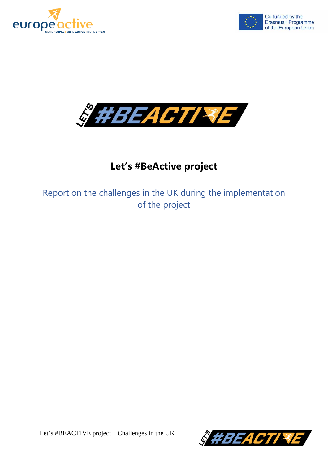





## **Let's #BeActive project**

Report on the challenges in the UK during the implementation of the project

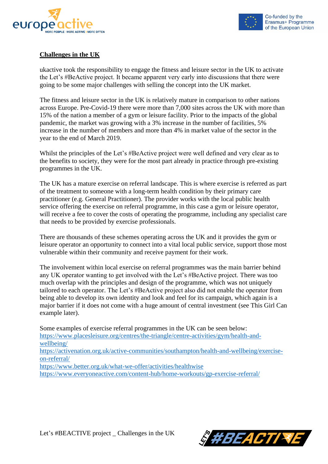



## **Challenges in the UK**

ukactive took the responsibility to engage the fitness and leisure sector in the UK to activate the Let's #BeActive project. It became apparent very early into discussions that there were going to be some major challenges with selling the concept into the UK market.

The fitness and leisure sector in the UK is relatively mature in comparison to other nations across Europe. Pre-Covid-19 there were more than 7,000 sites across the UK with more than 15% of the nation a member of a gym or leisure facility. Prior to the impacts of the global pandemic, the market was growing with a 3% increase in the number of facilities, 5% increase in the number of members and more than 4% in market value of the sector in the year to the end of March 2019.

Whilst the principles of the Let's #BeActive project were well defined and very clear as to the benefits to society, they were for the most part already in practice through pre-existing programmes in the UK.

The UK has a mature exercise on referral landscape. This is where exercise is referred as part of the treatment to someone with a long-term health condition by their primary care practitioner (e.g. General Practitioner). The provider works with the local public health service offering the exercise on referral programme, in this case a gym or leisure operator, will receive a fee to cover the costs of operating the programme, including any specialist care that needs to be provided by exercise professionals.

There are thousands of these schemes operating across the UK and it provides the gym or leisure operator an opportunity to connect into a vital local public service, support those most vulnerable within their community and receive payment for their work.

The involvement within local exercise on referral programmes was the main barrier behind any UK operator wanting to get involved with the Let's #BeActive project. There was too much overlap with the principles and design of the programme, which was not uniquely tailored to each operator. The Let's #BeActive project also did not enable the operator from being able to develop its own identity and look and feel for its campaign, which again is a major barrier if it does not come with a huge amount of central investment (see This Girl Can example later).

Some examples of exercise referral programmes in the UK can be seen below: [https://www.placesleisure.org/centres/the-triangle/centre-activities/gym/health-and](https://www.placesleisure.org/centres/the-triangle/centre-activities/gym/health-and-wellbeing/)[wellbeing/](https://www.placesleisure.org/centres/the-triangle/centre-activities/gym/health-and-wellbeing/) [https://activenation.org.uk/active-communities/southampton/health-and-wellbeing/exercise](https://activenation.org.uk/active-communities/southampton/health-and-wellbeing/exercise-on-referral/)[on-referral/](https://activenation.org.uk/active-communities/southampton/health-and-wellbeing/exercise-on-referral/) <https://www.better.org.uk/what-we-offer/activities/healthwise>

<https://www.everyoneactive.com/content-hub/home-workouts/gp-exercise-referral/>

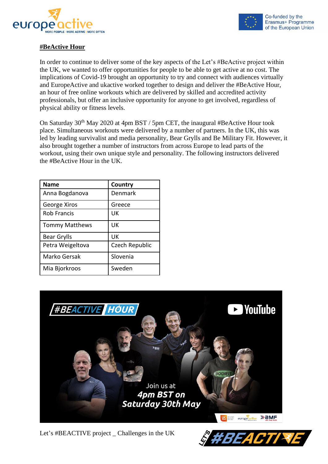



## **#BeActive Hour**

In order to continue to deliver some of the key aspects of the Let's #BeActive project within the UK, we wanted to offer opportunities for people to be able to get active at no cost. The implications of Covid-19 brought an opportunity to try and connect with audiences virtually and EuropeActive and ukactive worked together to design and deliver the #BeActive Hour, an hour of free online workouts which are delivered by skilled and accredited activity professionals, but offer an inclusive opportunity for anyone to get involved, regardless of physical ability or fitness levels.

On Saturday 30<sup>th</sup> May 2020 at 4pm BST / 5pm CET, the inaugural #BeActive Hour took place. Simultaneous workouts were delivered by a number of partners. In the UK, this was led by leading survivalist and media personality, Bear Grylls and Be Military Fit. However, it also brought together a number of instructors from across Europe to lead parts of the workout, using their own unique style and personality. The following instructors delivered the #BeActive Hour in the UK.

| <b>Name</b>           | Country        |
|-----------------------|----------------|
| Anna Bogdanova        | Denmark        |
| George Xiros          | Greece         |
| <b>Rob Francis</b>    | UK             |
| <b>Tommy Matthews</b> | UK             |
| Bear Grylls           | UK             |
| Petra Weigeltova      | Czech Republic |
| Marko Gersak          | Slovenia       |
| Mia Bjorkroos         | Sweden         |



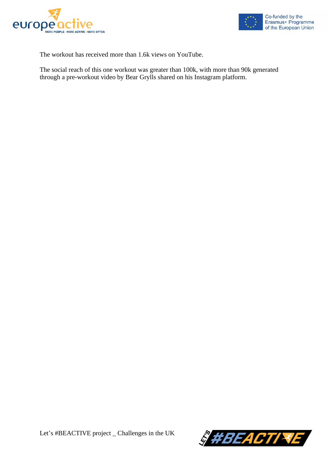



The workout has received more than 1.6k views on YouTube.

The social reach of this one workout was greater than 100k, with more than 90k generated through a pre-workout video by Bear Grylls shared on his Instagram platform.

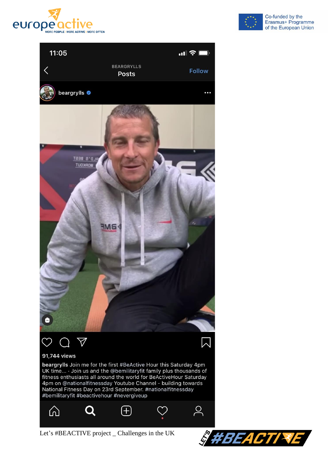





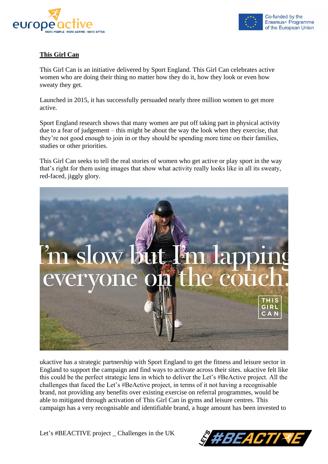



## **This Girl Can**

This Girl Can is an initiative delivered by Sport England. This Girl Can celebrates active women who are doing their thing no matter how they do it, how they look or even how sweaty they get.

Launched in 2015, it has successfully persuaded nearly three million women to get more active.

Sport England research shows that many women are put off taking part in physical activity due to a fear of judgement – this might be about the way the look when they exercise, that they're not good enough to join in or they should be spending more time on their families, studies or other priorities.

This Girl Can seeks to tell the real stories of women who get active or play sport in the way that's right for them using images that show what activity really looks like in all its sweaty, red-faced, jiggly glory.



ukactive has a strategic partnership with Sport England to get the fitness and leisure sector in England to support the campaign and find ways to activate across their sites. ukactive felt like this could be the perfect strategic lens in which to deliver the Let's #BeActive project. All the challenges that faced the Let's #BeActive project, in terms of it not having a recognisable brand, not providing any benefits over existing exercise on referral programmes, would be able to mitigated through activation of This Girl Can in gyms and leisure centres. This campaign has a very recognisable and identifiable brand, a huge amount has been invested to